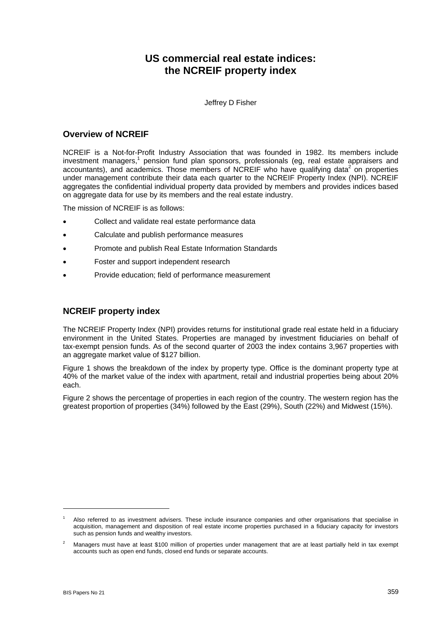# **US commercial real estate indices: the NCREIF property index**

Jeffrey D Fisher

### **Overview of NCREIF**

NCREIF is a Not-for-Profit Industry Association that was founded in 1982. Its members include investment managers,<sup>1</sup> pension fund plan sponsors, professionals (eg, real estate appraisers and accountants), and academics. Those members of NCREIF who have qualifying data<sup>2</sup> on properties under management contribute their data each quarter to the NCREIF Property Index (NPI). NCREIF aggregates the confidential individual property data provided by members and provides indices based on aggregate data for use by its members and the real estate industry.

The mission of NCREIF is as follows:

- Collect and validate real estate performance data
- Calculate and publish performance measures
- Promote and publish Real Estate Information Standards
- Foster and support independent research
- Provide education; field of performance measurement

# **NCREIF property index**

The NCREIF Property Index (NPI) provides returns for institutional grade real estate held in a fiduciary environment in the United States. Properties are managed by investment fiduciaries on behalf of tax-exempt pension funds. As of the second quarter of 2003 the index contains 3,967 properties with an aggregate market value of \$127 billion.

Figure 1 shows the breakdown of the index by property type. Office is the dominant property type at 40% of the market value of the index with apartment, retail and industrial properties being about 20% each.

Figure 2 shows the percentage of properties in each region of the country. The western region has the greatest proportion of properties (34%) followed by the East (29%), South (22%) and Midwest (15%).

<span id="page-0-0"></span>Also referred to as investment advisers. These include insurance companies and other organisations that specialise in acquisition, management and disposition of real estate income properties purchased in a fiduciary capacity for investors such as pension funds and wealthy investors.

<span id="page-0-1"></span><sup>2</sup> Managers must have at least \$100 million of properties under management that are at least partially held in tax exempt accounts such as open end funds, closed end funds or separate accounts.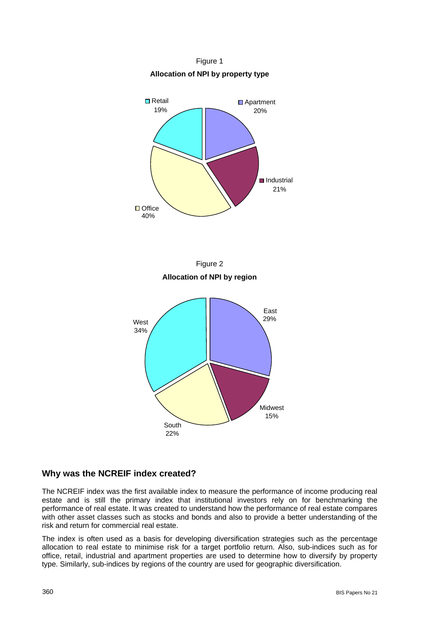Figure 1 **Allocation of NPI by property type** 







## **Why was the NCREIF index created?**

The NCREIF index was the first available index to measure the performance of income producing real estate and is still the primary index that institutional investors rely on for benchmarking the performance of real estate. It was created to understand how the performance of real estate compares with other asset classes such as stocks and bonds and also to provide a better understanding of the risk and return for commercial real estate.

The index is often used as a basis for developing diversification strategies such as the percentage allocation to real estate to minimise risk for a target portfolio return. Also, sub-indices such as for office, retail, industrial and apartment properties are used to determine how to diversify by property type. Similarly, sub-indices by regions of the country are used for geographic diversification.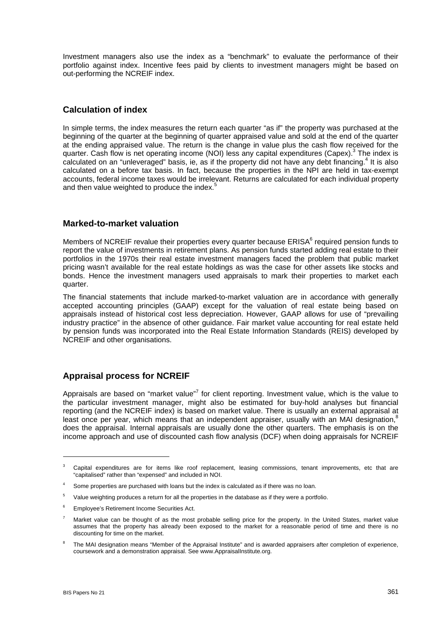Investment managers also use the index as a "benchmark" to evaluate the performance of their portfolio against index. Incentive fees paid by clients to investment managers might be based on out-performing the NCREIF index.

# **Calculation of index**

In simple terms, the index measures the return each quarter "as if" the property was purchased at the beginning of the quarter at the beginning of quarter appraised value and sold at the end of the quarter at the ending appraised value. The return is the change in value plus the cash flow received for the quarter. Cash flow is net operating income (NOI) less any capital expenditures (Capex).<sup>3</sup> The index is calculated on an "unleveraged" basis, ie, as if the property did not have any debt financing.<sup>[4](#page-2-1)</sup> It is also calculated on a before tax basis. In fact, because the properties in the NPI are held in tax-exempt accounts, federal income taxes would be irrelevant. Returns are calculated for each individual property and then value weighted to produce the index.<sup>[5](#page-2-2)</sup>

### **Marked-to-market valuation**

Members of NCREIF revalue their properties every quarter because ERISA<sup>[6](#page-2-3)</sup> required pension funds to report the value of investments in retirement plans. As pension funds started adding real estate to their portfolios in the 1970s their real estate investment managers faced the problem that public market pricing wasn't available for the real estate holdings as was the case for other assets like stocks and bonds. Hence the investment managers used appraisals to mark their properties to market each quarter.

accepted accounting principles (GAAP) except for the valuation of real estate being based on The financial statements that include marked-to-market valuation are in accordance with generally appraisals instead of historical cost less depreciation. However, GAAP allows for use of "prevailing industry practice" in the absence of other guidance. Fair market value accounting for real estate held by pension funds was incorporated into the Real Estate Information Standards (REIS) developed by NCREIF and other organisations.

## **Appraisal process for NCREIF**

Appraisalsare based on "market value"<sup>7</sup> for client reporting. Investment value, which is the value to the particular investment manager, might also be estimated for buy-hold analyses but financial reporting (and the NCREIF index) is based on market value. There is usually an external appraisal at least once per vear, which means that an independent appraiser, usually with an MAI designation, $8$ does the appraisal. Internal appraisals are usually done the other quarters. The emphasis is on the income approach and use of discounted cash flow analysis (DCF) when doing appraisals for NCREIF

 $\overline{a}$ 

<span id="page-2-0"></span><sup>&</sup>lt;sup>3</sup> Capital expenditures are for items like roof replacement, leasing commissions, tenant improvements, etc that are "capitalised" rather than "expensed" and included in NOI.

<span id="page-2-1"></span><sup>&</sup>lt;sup>4</sup> Some properties are purchased with loans but the index is calculated as if there was no loan.

<span id="page-2-2"></span><sup>&</sup>lt;sup>5</sup> Value weighting produces a return for all the properties in the database as if they were a portfolio.

<span id="page-2-3"></span><sup>6</sup> Employee's Retirement Income Securities Act.

<span id="page-2-4"></span>Market value can be thought of as the most probable selling price for the property. In the United States, market value assumes that the property has already been exposed to the market for a reasonable period of time and there is no discounting for time on the market.

<span id="page-2-5"></span>The MAI designation means "Member of the Appraisal Institute" and is awarded appraisers after completion of experience, coursework and a demonstration appraisal. See www.AppraisalInstitute.org.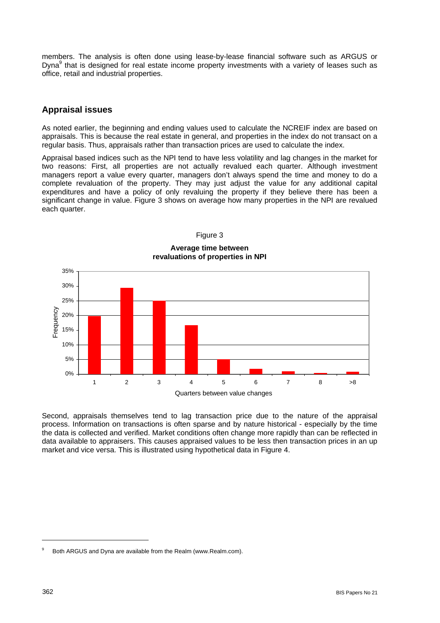members. The analysis is often done using lease-by-lease financial software such as ARGUS or Dyna<sup>9</sup> that is designed for real estate income property investments with a variety of leases such as office, retail and industrial properties.

### **Appraisal issues**

As noted earlier, the beginning and ending values used to calculate the NCREIF index are based on appraisals. This is because the real estate in general, and properties in the index do not transact on a regular basis. Thus, appraisals rather than transaction prices are used to calculate the index.

Appraisal based indices such as the NPI tend to have less volatility and lag changes in the market for two reasons: First, all properties are not actually revalued each quarter. Although investment managers report a value every quarter, managers don't always spend the time and money to do a complete revaluation of the property. They may just adjust the value for any additional capital expenditures and have a policy of only revaluing the property if they believe there has been a significant change in value. Figure 3 shows on average how many properties in the NPI are revalued each quarter.



Figure 3 **Average time between revaluations of properties in NPI** 

Second, appraisals themselves tend to lag transaction price due to the nature of the appraisal process. Information on transactions is often sparse and by nature historical - especially by the time the data is collected and verified. Market conditions often change more rapidly than can be reflected in data available to appraisers. This causes appraised values to be less then transaction prices in an up market and vice versa. This is illustrated using hypothetical data in Figure 4.

<span id="page-3-0"></span>Both ARGUS and Dyna are available from the Realm (www.Realm.com).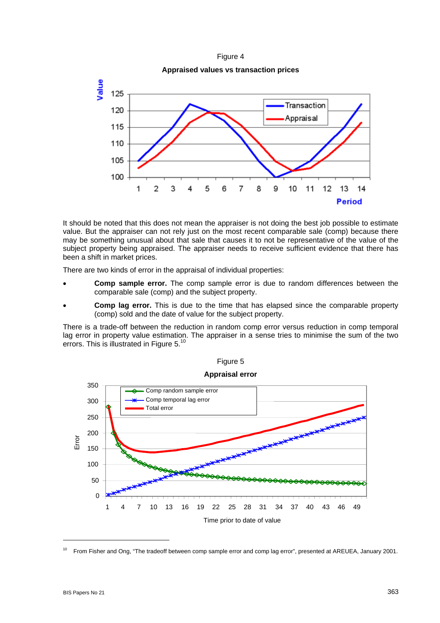



It should be noted that this does not mean the appraiser is not doing the best job possible to estimate value. But the appraiser can not rely just on the most recent comparable sale (comp) because there may be something unusual about that sale that causes it to not be representative of the value of the subject property being appraised. The appraiser needs to receive sufficient evidence that there has been a shift in market prices.

There are two kinds of error in the appraisal of individual properties:

- **Comp sample error.** The comp sample error is due to random differences between the comparable sale (comp) and the subject property.
- **Comp lag error.** This is due to the time that has elapsed since the comparable property (comp) sold and the date of value for the subject property.

There is a trade-off between the reduction in random comp error versus reduction in comp temporal lag error in property value estimation. The appraiser in a sense tries to minimise the sum of the two errors. This is illustrated in Figure 5.[10](#page-4-0)



# Figure 5

 $\overline{a}$ 

<span id="page-4-0"></span><sup>&</sup>lt;sup>10</sup> From Fisher and Ong, "The tradeoff between comp sample error and comp lag error", presented at AREUEA, January 2001.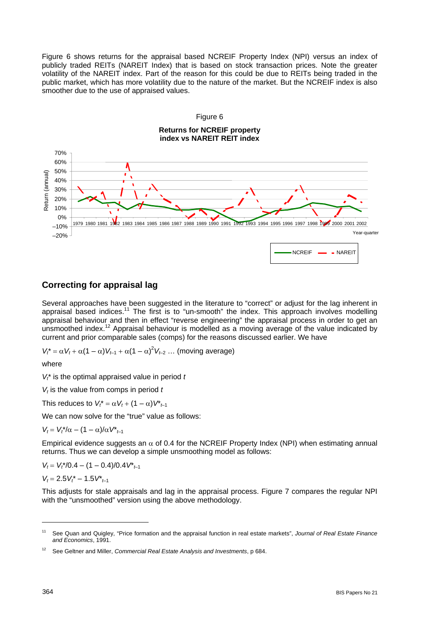Figure 6 shows returns for the appraisal based NCREIF Property Index (NPI) versus an index of publicly traded REITs (NAREIT Index) that is based on stock transaction prices. Note the greater volatility of the NAREIT index. Part of the reason for this could be due to REITs being traded in the public market, which has more volatility due to the nature of the market. But the NCREIF index is also smoother due to the use of appraised values.



# **Correcting for appraisal lag**

Several approaches have been suggested in the literature to "correct" or adiust for the lag inherent in appraisal based indices.<sup>11</sup> The first is to "un-smooth" the index. This approach involves modelling appraisal behaviour and then in effect "reverse engineering" the appraisal process in order to get an unsmoothed index.<sup>[12](#page-5-1)</sup> Appraisal behaviour is modelled as a moving average of the value indicated by current and prior comparable sales (comps) for the reasons discussed earlier. We have

 $V_t^* = \alpha V_t + \alpha (1 - \alpha) V_{t-1} + \alpha (1 - \alpha)^2 V_{t-2} \dots$  (moving average)

where

 $V_t^*$  is the optimal appraised value in period  $t$ 

*V<sub>t</sub>* is the value from comps in period *t* 

This reduces to  $V_t^* = \alpha V_t + (1 - \alpha)V_{t-1}^*$ 

We can now solve for the "true" value as follows:

*V<sub>t</sub>* =  $V_t^*/\alpha$  – (1 – α)/α $V^*$ <sub>*t*-1</sub>

Empirical evidence suggests an  $\alpha$  of 0.4 for the NCREIF Property Index (NPI) when estimating annual returns. Thus we can develop a simple unsmoothing model as follows:

 $V_t = V_t^*/0.4 - (1 - 0.4)/0.4V^*$ 

 $V_t = 2.5V_t^* - 1.5V_{t-1}^*$ 

This adjusts for stale appraisals and lag in the appraisal process. Figure 7 compares the regular NPI with the "unsmoothed" version using the above methodology.

<span id="page-5-0"></span><sup>11</sup> See Quan and Quigley, "Price formation and the appraisal function in real estate markets", *Journal of Real Estate Finance and Economics*, 1991.

<span id="page-5-1"></span><sup>12</sup> See Geltner and Miller, *Commercial Real Estate Analysis and Investments*, p 684.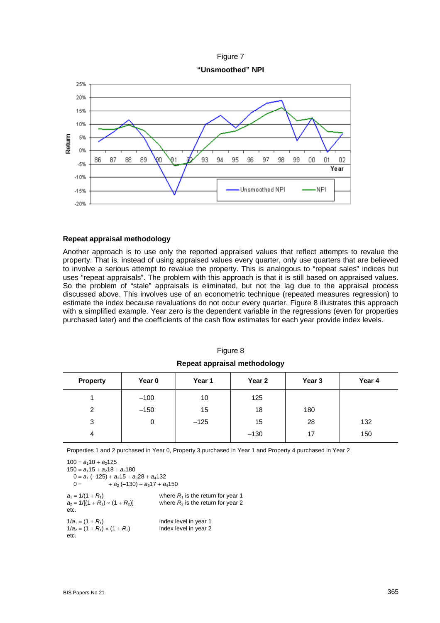



### **Repeat appraisal methodology**

Another approach is to use only the reported appraised values that reflect attempts to revalue the property. That is, instead of using appraised values every quarter, only use quarters that are believed to involve a serious attempt to revalue the property. This is analogous to "repeat sales" indices but uses "repeat appraisals". The problem with this approach is that it is still based on appraised values. So the problem of "stale" appraisals is eliminated, but not the lag due to the appraisal process discussed above. This involves use of an econometric technique (repeated measures regression) to estimate the index because revaluations do not occur every quarter. Figure 8 illustrates this approach with a simplified example. Year zero is the dependent variable in the regressions (even for properties purchased later) and the coefficients of the cash flow estimates for each year provide index levels.

| <b>Property</b> | Year 0 | Year 1 | Year 2 | Year 3 | Year 4 |
|-----------------|--------|--------|--------|--------|--------|
|                 | $-100$ | 10     | 125    |        |        |
| 2               | $-150$ | 15     | 18     | 180    |        |
| 3               | 0      | $-125$ | 15     | 28     | 132    |
| 4               |        |        | $-130$ | 17     | 150    |

Figure 8 **Repeat appraisal methodology**

Properties 1 and 2 purchased in Year 0, Property 3 purchased in Year 1 and Property 4 purchased in Year 2

 $100 = a_110 + a_2125$  $150 = a_115 + a_218 + a_3180$  $0 = a_1 (-125) + a_2 15 + a_3 28 + a_4 132$  $0 = +a_2(-130) + a_317 + a_4150$  $a_1 = 1/(1 + R_1)$  where  $R_1$  is the return for year 1  $a_2 = 1/[(1 + R_1) \times (1 + R_2)]$  where  $R_2$  is the return for year 2 etc.  $1/a_1 = (1 + R_1)$  index level in year 1<br>  $1/a_2 = (1 + R_1) \times (1 + R_2)$  index level in year 2  $1/a_2 = (1 + R_1) \times (1 + R_2)$ etc.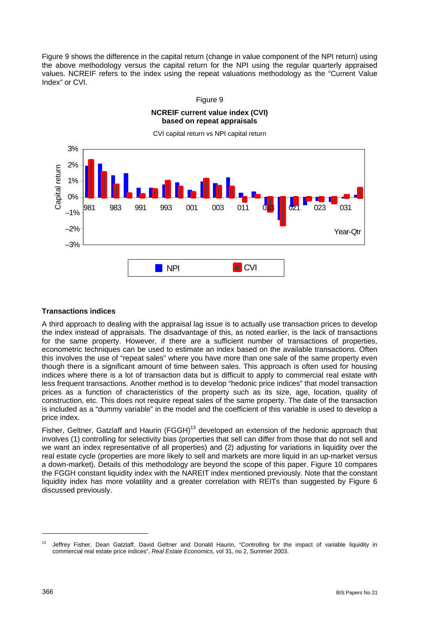Figure 9 shows the difference in the capital return (change in value component of the NPI return) using the above methodology versus the capital return for the NPI using the regular quarterly appraised values. NCREIF refers to the index using the repeat valuations methodology as the "Current Value Index" or CVI.



### Figure 9

### **Transactions indices**

A third approach to dealing with the appraisal lag issue is to actually use transaction prices to develop the index instead of appraisals. The disadvantage of this, as noted earlier, is the lack of transactions for the same property. However, if there are a sufficient number of transactions of properties, econometric techniques can be used to estimate an index based on the available transactions. Often this involves the use of "repeat sales" where you have more than one sale of the same property even though there is a significant amount of time between sales. This approach is often used for housing indices where there is a lot of transaction data but is difficult to apply to commercial real estate with less frequent transactions. Another method is to develop "hedonic price indices" that model transaction prices as a function of characteristics of the property such as its size, age, location, quality of construction, etc. This does not require repeat sales of the same property. The date of the transaction is included as a "dummy variable" in the model and the coefficient of this variable is used to develop a price index.

Fisher, Geltner, Gatzlaff and Haurin (FGGH)<sup>13</sup> developed an extension of the hedonic approach that involves (1) controlling for selectivity bias (properties that sell can differ from those that do not sell and we want an index representative of all properties) and (2) adjusting for variations in liquidity over the real estate cycle (properties are more likely to sell and markets are more liquid in an up-market versus a down-market). Details of this methodology are beyond the scope of this paper. Figure 10 compares the FGGH constant liquidity index with the NAREIT index mentioned previously. Note that the constant liquidity index has more volatility and a greater correlation with REITs than suggested by Figure 6 discussed previously.

<span id="page-7-0"></span><sup>&</sup>lt;sup>13</sup> Jeffrey Fisher, Dean Gatzlaff, David Geltner and Donald Haurin, "Controlling for the impact of variable liquidity in commercial real estate price indices", *Real Estate Economics*, vol 31, no 2, Summer 2003.